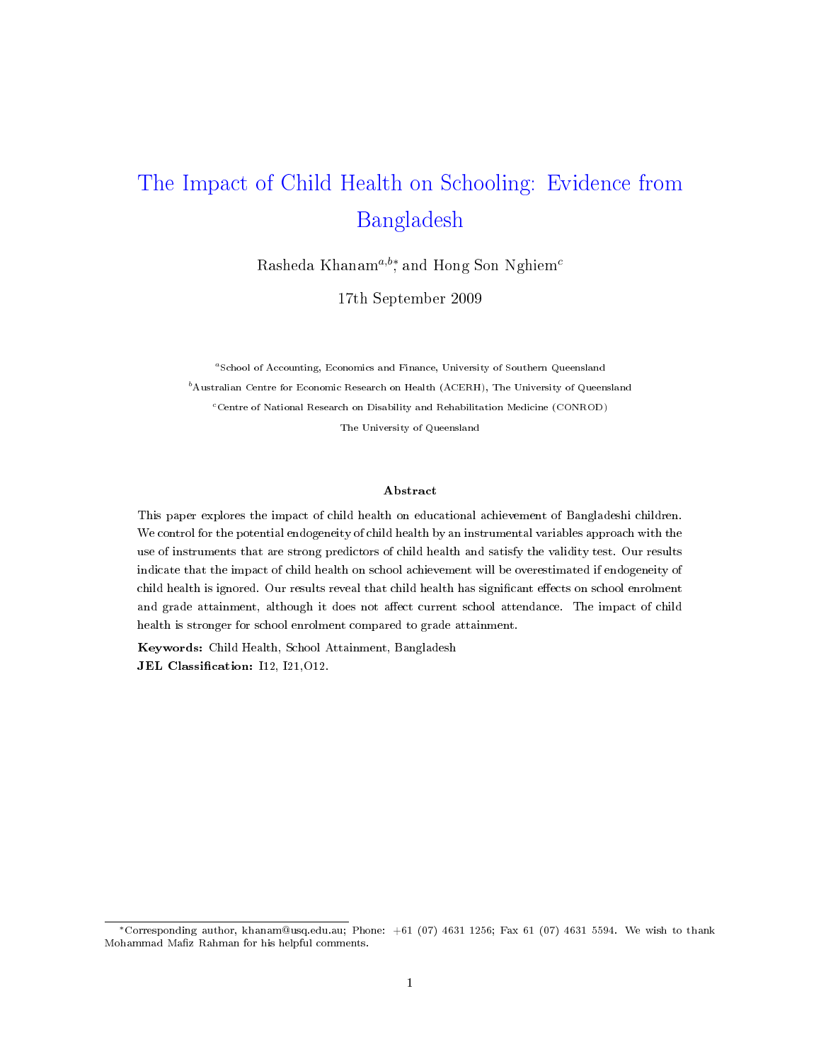# The Impact of Child Health on Schooling: Evidence from Bangladesh

Rasheda Khanam $^{a,b*}$ , and Hong Son Nghiem $^c$ 

17th September 2009

<sup>a</sup>School of Accounting, Economics and Finance, University of Southern Queensland  $^{b}$ Australian Centre for Economic Research on Health (ACERH), The University of Queensland <sup>c</sup>Centre of National Research on Disability and Rehabilitation Medicine (CONROD) The University of Queensland

#### Abstract

This paper explores the impact of child health on educational achievement of Bangladeshi children. We control for the potential endogeneity of child health by an instrumental variables approach with the use of instruments that are strong predictors of child health and satisfy the validity test. Our results indicate that the impact of child health on school achievement will be overestimated if endogeneity of child health is ignored. Our results reveal that child health has significant effects on school enrolment and grade attainment, although it does not affect current school attendance. The impact of child health is stronger for school enrolment compared to grade attainment.

Keywords: Child Health, School Attainment, Bangladesh JEL Classification: I12, I21, O12.

<sup>∗</sup>Corresponding author, khanam@usq.edu.au; Phone: +61 (07) 4631 1256; Fax 61 (07) 4631 5594. We wish to thank Mohammad Mafiz Rahman for his helpful comments.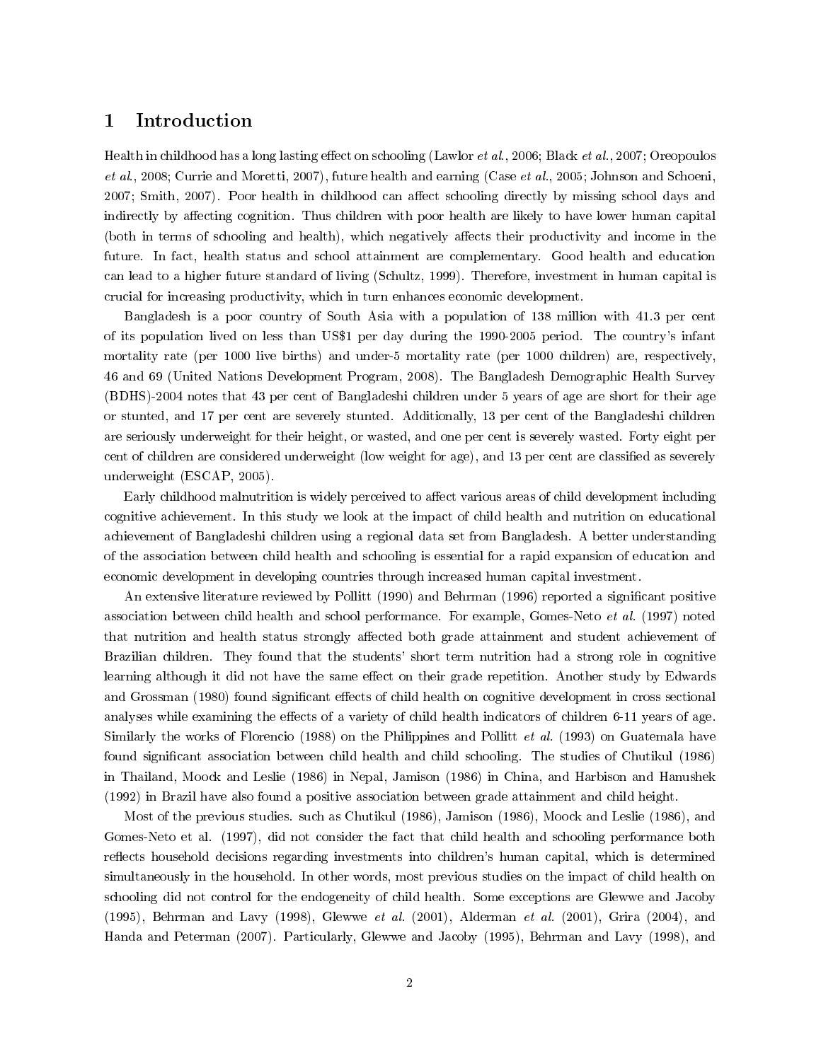## 1 Introduction

Health in childhood has a long lasting effect on schooling (Lawlor et al., 2006; Black et al., 2007; Oreopoulos et al., 2008; Currie and Moretti, 2007), future health and earning (Case et al., 2005; Johnson and Schoeni, 2007; Smith, 2007). Poor health in childhood can affect schooling directly by missing school days and indirectly by affecting cognition. Thus children with poor health are likely to have lower human capital (both in terms of schooling and health), which negatively affects their productivity and income in the future. In fact, health status and school attainment are complementary. Good health and education can lead to a higher future standard of living (Schultz, 1999). Therefore, investment in human capital is crucial for increasing productivity, which in turn enhances economic development.

Bangladesh is a poor country of South Asia with a population of 138 million with 41.3 per cent of its population lived on less than US\$1 per day during the 1990-2005 period. The country's infant mortality rate (per 1000 live births) and under-5 mortality rate (per 1000 children) are, respectively, 46 and 69 (United Nations Development Program, 2008). The Bangladesh Demographic Health Survey (BDHS)-2004 notes that 43 per cent of Bangladeshi children under 5 years of age are short for their age or stunted, and 17 per cent are severely stunted. Additionally, 13 per cent of the Bangladeshi children are seriously underweight for their height, or wasted, and one per cent is severely wasted. Forty eight per cent of children are considered underweight (low weight for age), and 13 per cent are classified as severely underweight (ESCAP, 2005).

Early childhood malnutrition is widely perceived to affect various areas of child development including cognitive achievement. In this study we look at the impact of child health and nutrition on educational achievement of Bangladeshi children using a regional data set from Bangladesh. A better understanding of the association between child health and schooling is essential for a rapid expansion of education and economic development in developing countries through increased human capital investment.

An extensive literature reviewed by Pollitt (1990) and Behrman (1996) reported a significant positive association between child health and school performance. For example, Gomes-Neto et al. (1997) noted that nutrition and health status strongly affected both grade attainment and student achievement of Brazilian children. They found that the students' short term nutrition had a strong role in cognitive learning although it did not have the same effect on their grade repetition. Another study by Edwards and Grossman (1980) found significant effects of child health on cognitive development in cross sectional analyses while examining the effects of a variety of child health indicators of children 6-11 years of age. Similarly the works of Florencio (1988) on the Philippines and Pollitt et al. (1993) on Guatemala have found significant association between child health and child schooling. The studies of Chutikul (1986) in Thailand, Moock and Leslie (1986) in Nepal, Jamison (1986) in China, and Harbison and Hanushek (1992) in Brazil have also found a positive association between grade attainment and child height.

Most of the previous studies. such as Chutikul (1986), Jamison (1986), Moock and Leslie (1986), and Gomes-Neto et al. (1997), did not consider the fact that child health and schooling performance both reflects household decisions regarding investments into children's human capital, which is determined simultaneously in the household. In other words, most previous studies on the impact of child health on schooling did not control for the endogeneity of child health. Some exceptions are Glewwe and Jacoby (1995), Behrman and Lavy (1998), Glewwe et al. (2001), Alderman et al. (2001), Grira (2004), and Handa and Peterman (2007). Particularly, Glewwe and Jacoby (1995), Behrman and Lavy (1998), and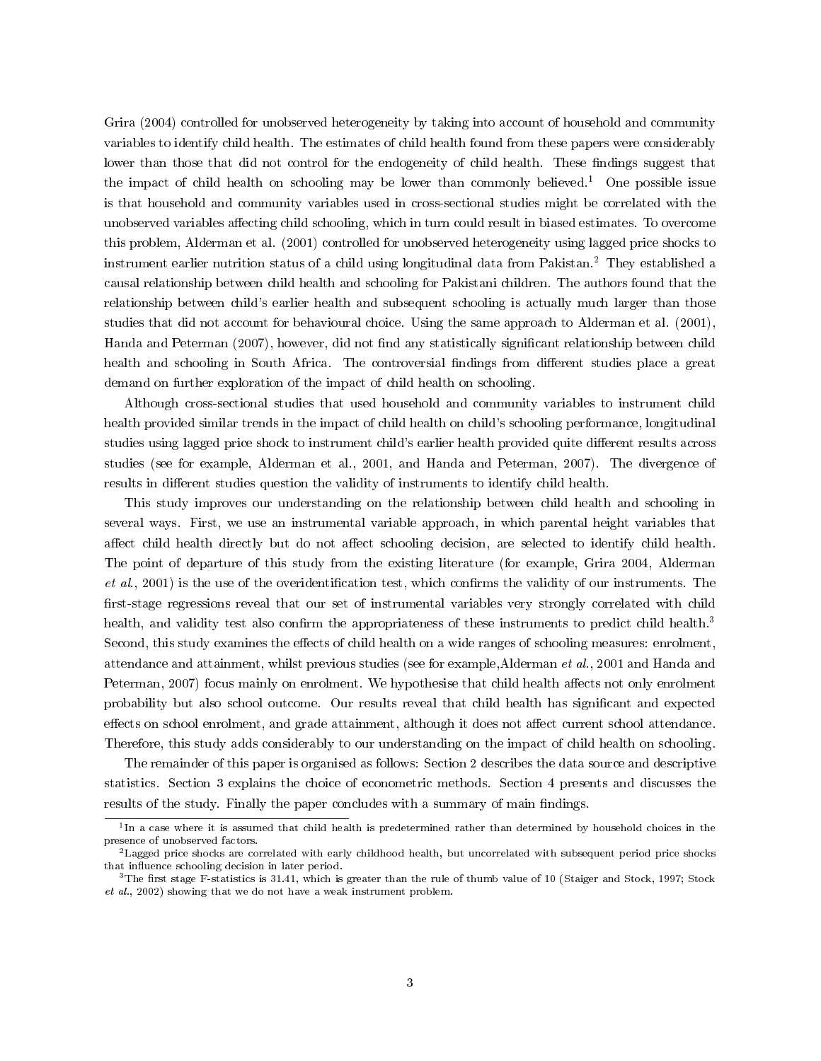Grira (2004) controlled for unobserved heterogeneity by taking into account of household and community variables to identify child health. The estimates of child health found from these papers were considerably lower than those that did not control for the endogeneity of child health. These findings suggest that the impact of child health on schooling may be lower than commonly believed.<sup>1</sup> One possible issue is that household and community variables used in cross-sectional studies might be correlated with the unobserved variables affecting child schooling, which in turn could result in biased estimates. To overcome this problem, Alderman et al. (2001) controlled for unobserved heterogeneity using lagged price shocks to instrument earlier nutrition status of a child using longitudinal data from Pakistan.<sup>2</sup> They established a causal relationship between child health and schooling for Pakistani children. The authors found that the relationship between child's earlier health and subsequent schooling is actually much larger than those studies that did not account for behavioural choice. Using the same approach to Alderman et al. (2001), Handa and Peterman (2007), however, did not find any statistically significant relationship between child health and schooling in South Africa. The controversial findings from different studies place a great demand on further exploration of the impact of child health on schooling.

Although cross-sectional studies that used household and community variables to instrument child health provided similar trends in the impact of child health on child's schooling performance, longitudinal studies using lagged price shock to instrument child's earlier health provided quite different results across studies (see for example, Alderman et al., 2001, and Handa and Peterman, 2007). The divergence of results in different studies question the validity of instruments to identify child health.

This study improves our understanding on the relationship between child health and schooling in several ways. First, we use an instrumental variable approach, in which parental height variables that affect child health directly but do not affect schooling decision, are selected to identify child health. The point of departure of this study from the existing literature (for example, Grira 2004, Alderman  $et \ al., 2001$ ) is the use of the overidentification test, which confirms the validity of our instruments. The first-stage regressions reveal that our set of instrumental variables very strongly correlated with child health, and validity test also confirm the appropriateness of these instruments to predict child health.<sup>3</sup> Second, this study examines the effects of child health on a wide ranges of schooling measures: enrolment, attendance and attainment, whilst previous studies (see for example,Alderman et al., 2001 and Handa and Peterman, 2007) focus mainly on enrolment. We hypothesise that child health affects not only enrolment probability but also school outcome. Our results reveal that child health has signicant and expected effects on school enrolment, and grade attainment, although it does not affect current school attendance. Therefore, this study adds considerably to our understanding on the impact of child health on schooling.

The remainder of this paper is organised as follows: Section 2 describes the data source and descriptive statistics. Section 3 explains the choice of econometric methods. Section 4 presents and discusses the results of the study. Finally the paper concludes with a summary of main findings.

 $^1$ In a case where it is assumed that child health is predetermined rather than determined by household choices in the presence of unobserved factors.

 $^2$ Lagged price shocks are correlated with early childhood health, but uncorrelated with subsequent period price shocks that influence schooling decision in later period.

 $3$ The first stage F-statistics is 31.41, which is greater than the rule of thumb value of 10 (Staiger and Stock, 1997; Stock et al., 2002) showing that we do not have a weak instrument problem.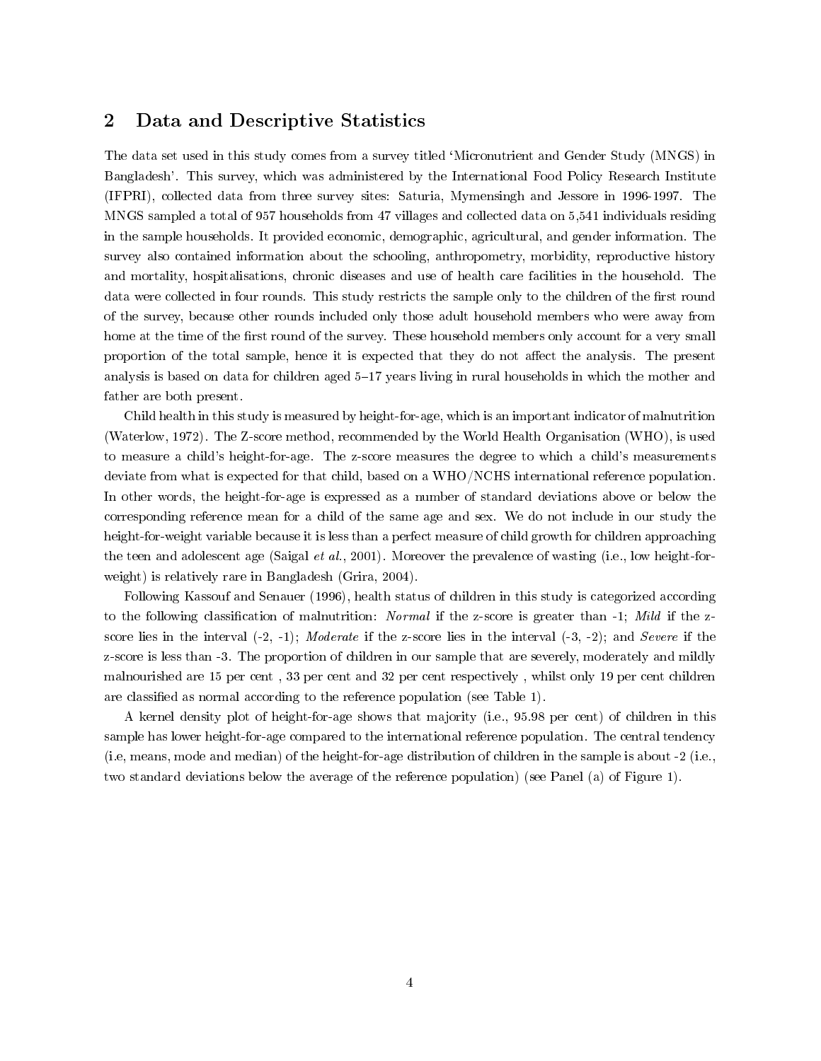## 2 Data and Descriptive Statistics

The data set used in this study comes from a survey titled `Micronutrient and Gender Study (MNGS) in Bangladesh'. This survey, which was administered by the International Food Policy Research Institute (IFPRI), collected data from three survey sites: Saturia, Mymensingh and Jessore in 1996-1997. The MNGS sampled a total of 957 households from 47 villages and collected data on 5,541 individuals residing in the sample households. It provided economic, demographic, agricultural, and gender information. The survey also contained information about the schooling, anthropometry, morbidity, reproductive history and mortality, hospitalisations, chronic diseases and use of health care facilities in the household. The data were collected in four rounds. This study restricts the sample only to the children of the first round of the survey, because other rounds included only those adult household members who were away from home at the time of the first round of the survey. These household members only account for a very small proportion of the total sample, hence it is expected that they do not affect the analysis. The present analysis is based on data for children aged 5-17 years living in rural households in which the mother and father are both present.

Child health in this study is measured by height-for-age, which is an important indicator of malnutrition (Waterlow, 1972). The Z-score method, recommended by the World Health Organisation (WHO), is used to measure a child's height-for-age. The z-score measures the degree to which a child's measurements deviate from what is expected for that child, based on a WHO/NCHS international reference population. In other words, the height-for-age is expressed as a number of standard deviations above or below the corresponding reference mean for a child of the same age and sex. We do not include in our study the height-for-weight variable because it is less than a perfect measure of child growth for children approaching the teen and adolescent age (Saigal et al., 2001). Moreover the prevalence of wasting (i.e., low height-forweight) is relatively rare in Bangladesh (Grira, 2004).

Following Kassouf and Senauer (1996), health status of children in this study is categorized according to the following classification of malnutrition: Normal if the z-score is greater than -1; Mild if the zscore lies in the interval  $(-2, -1)$ ; Moderate if the z-score lies in the interval  $(-3, -2)$ ; and Severe if the z-score is less than -3. The proportion of children in our sample that are severely, moderately and mildly malnourished are 15 per cent , 33 per cent and 32 per cent respectively , whilst only 19 per cent children are classified as normal according to the reference population (see Table 1).

A kernel density plot of height-for-age shows that majority (i.e., 95.98 per cent) of children in this sample has lower height-for-age compared to the international reference population. The central tendency (i.e, means, mode and median) of the height-for-age distribution of children in the sample is about -2 (i.e., two standard deviations below the average of the reference population) (see Panel (a) of Figure 1).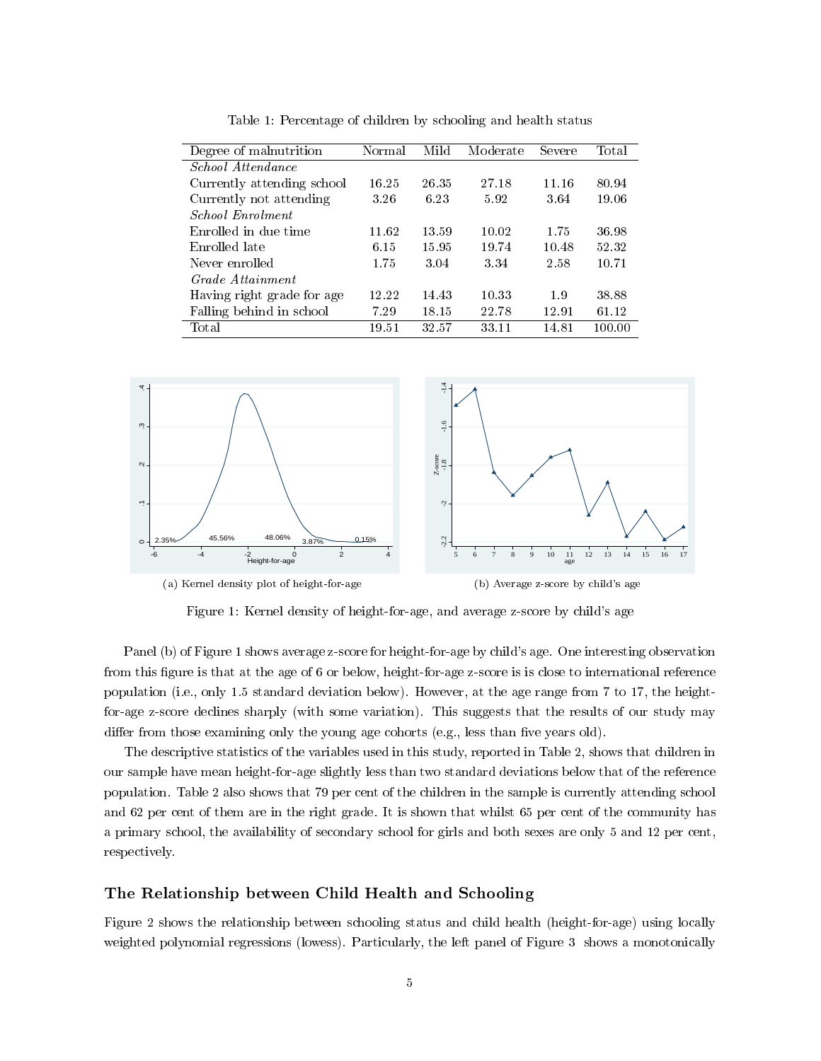| Degree of malnutrition     | Normal | Mild  | Moderate | Severe | Total  |
|----------------------------|--------|-------|----------|--------|--------|
| <i>School Attendance</i>   |        |       |          |        |        |
| Currently attending school | 16.25  | 26.35 | 27.18    | 11.16  | 80.94  |
| Currently not attending    | 3.26   | 6.23  | 5.92     | 3.64   | 19.06  |
| School Enrolment           |        |       |          |        |        |
| Enrolled in due time       | 11.62  | 13.59 | 10.02    | 1.75   | 36.98  |
| Enrolled late              | 6.15   | 15.95 | 19.74    | 10.48  | 52.32  |
| Never enrolled             | 1.75   | 3.04  | 3.34     | 2.58   | 10.71  |
| Grade Attainment           |        |       |          |        |        |
| Having right grade for age | 12.22  | 14.43 | 10.33    | 1.9    | 38.88  |
| Falling behind in school   | 7.29   | 18.15 | 22.78    | 12.91  | 61.12  |
| Total                      | 19.51  | 32.57 | 33.11    | 14.81  | 100.00 |

Table 1: Percentage of children by schooling and health status



Figure 1: Kernel density of height-for-age, and average z-score by child's age

Panel (b) of Figure 1 shows average z-score for height-for-age by child's age. One interesting observation from this figure is that at the age of 6 or below, height-for-age z-score is is close to international reference population (i.e., only 1.5 standard deviation below). However, at the age range from 7 to 17, the heightfor-age z-score declines sharply (with some variation). This suggests that the results of our study may differ from those examining only the young age cohorts (e.g., less than five years old).

The descriptive statistics of the variables used in this study, reported in Table 2, shows that children in our sample have mean height-for-age slightly less than two standard deviations below that of the reference population. Table 2 also shows that 79 per cent of the children in the sample is currently attending school and 62 per cent of them are in the right grade. It is shown that whilst 65 per cent of the community has a primary school, the availability of secondary school for girls and both sexes are only 5 and 12 per cent, respectively.

#### The Relationship between Child Health and Schooling

Figure 2 shows the relationship between schooling status and child health (height-for-age) using locally weighted polynomial regressions (lowess). Particularly, the left panel of Figure 3 shows a monotonically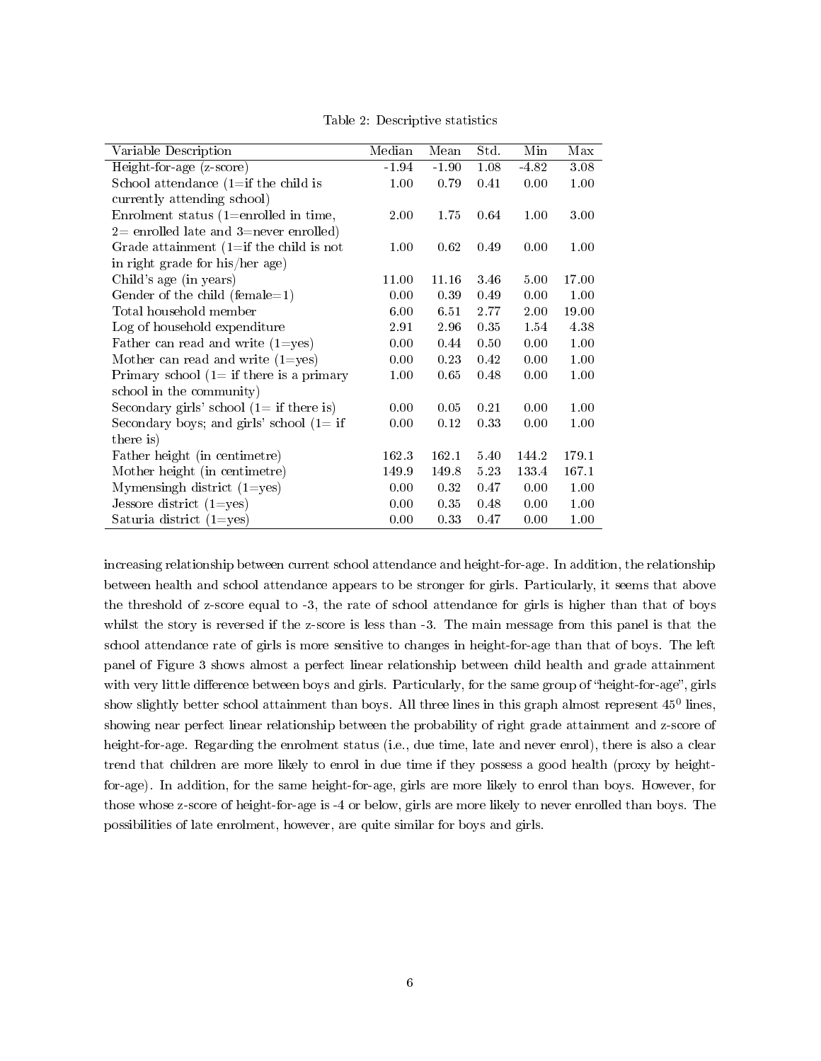|                                              | Median   | Mean    | $\operatorname{Std}.$ | Min     | Max   |
|----------------------------------------------|----------|---------|-----------------------|---------|-------|
| Variable Description                         |          |         |                       |         |       |
| Height-for-age (z-score)                     | $-1.94$  | $-1.90$ | 1.08                  | $-4.82$ | 3.08  |
| School attendance $(1 = if the child is)$    | 1.00     | 0.79    | 0.41                  | 0.00    | 1.00  |
| currently attending school)                  |          |         |                       |         |       |
| Enrolment status (1=enrolled in time,        | $2.00\,$ | 1.75    | 0.64                  | 1.00    | 3.00  |
| $2=$ enrolled late and 3=never enrolled)     |          |         |                       |         |       |
| Grade attainment $(1 = if the child is not$  | 1.00     | 0.62    | 0.49                  | 0.00    | 1.00  |
| in right grade for his/her age)              |          |         |                       |         |       |
| Child's age (in years)                       | 11.00    | 11.16   | 3.46                  | 5.00    | 17.00 |
| Gender of the child (female=1)               | 0.00     | 0.39    | 0.49                  | 0.00    | 1.00  |
| Total household member                       | 6.00     | 6.51    | 2.77                  | 2.00    | 19.00 |
| Log of household expenditure                 | 2.91     | 2.96    | 0.35                  | 1.54    | 4.38  |
| Father can read and write $(1 = yes)$        | 0.00     | 0.44    | 0.50                  | 0.00    | 1.00  |
| Mother can read and write $(1 = yes)$        | 0.00     | 0.23    | 0.42                  | 0.00    | 1.00  |
| Primary school $(1 = if there is a primary)$ | 1.00     | 0.65    | 0.48                  | 0.00    | 1.00  |
| school in the community)                     |          |         |                       |         |       |
| Secondary girls' school $(1 = if there is)$  | 0.00     | 0.05    | 0.21                  | 0.00    | 1.00  |
| Secondary boys; and girls' school $(1 = if$  | 0.00     | 0.12    | 0.33                  | 0.00    | 1.00  |
| there is)                                    |          |         |                       |         |       |
| Father height (in centimetre)                | 162.3    | 162.1   | 5.40                  | 144.2   | 179.1 |
| Mother height (in centimetre)                | 149.9    | 149.8   | 5.23                  | 133.4   | 167.1 |
| Mymensingh district $(1 = yes)$              | 0.00     | 0.32    | 0.47                  | 0.00    | 1.00  |
| Jessore district $(1 = yes)$                 | 0.00     | 0.35    | 0.48                  | 0.00    | 1.00  |
| Saturia district $(1 = yes)$                 | 0.00     | 0.33    | 0.47                  | 0.00    | 1.00  |

Table 2: Descriptive statistics

increasing relationship between current school attendance and height-for-age. In addition, the relationship between health and school attendance appears to be stronger for girls. Particularly, it seems that above the threshold of z-score equal to -3, the rate of school attendance for girls is higher than that of boys whilst the story is reversed if the z-score is less than  $-3$ . The main message from this panel is that the school attendance rate of girls is more sensitive to changes in height-for-age than that of boys. The left panel of Figure 3 shows almost a perfect linear relationship between child health and grade attainment with very little difference between boys and girls. Particularly, for the same group of "height-for-age", girls show slightly better school attainment than boys. All three lines in this graph almost represent  $45^0$  lines, showing near perfect linear relationship between the probability of right grade attainment and z-score of height-for-age. Regarding the enrolment status (i.e., due time, late and never enrol), there is also a clear trend that children are more likely to enrol in due time if they possess a good health (proxy by heightfor-age). In addition, for the same height-for-age, girls are more likely to enrol than boys. However, for those whose z-score of height-for-age is -4 or below, girls are more likely to never enrolled than boys. The possibilities of late enrolment, however, are quite similar for boys and girls.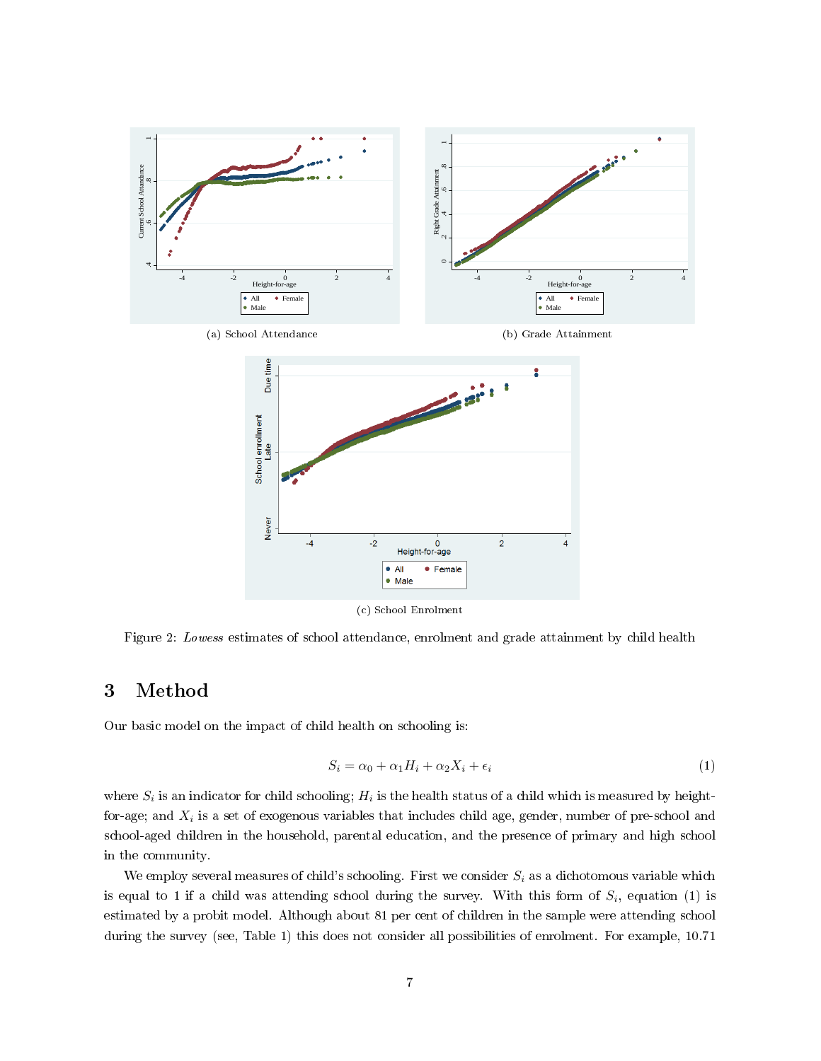

Figure 2: Lowess estimates of school attendance, enrolment and grade attainment by child health

# 3 Method

Our basic model on the impact of child health on schooling is:

$$
S_i = \alpha_0 + \alpha_1 H_i + \alpha_2 X_i + \epsilon_i \tag{1}
$$

where  $S_i$  is an indicator for child schooling;  $H_i$  is the health status of a child which is measured by heightfor-age; and  $X_i$  is a set of exogenous variables that includes child age, gender, number of pre-school and school-aged children in the household, parental education, and the presence of primary and high school in the community.

We employ several measures of child's schooling. First we consider  $S_i$  as a dichotomous variable which is equal to 1 if a child was attending school during the survey. With this form of  $S_i$ , equation (1) is estimated by a probit model. Although about 81 per cent of children in the sample were attending school during the survey (see, Table 1) this does not consider all possibilities of enrolment. For example, 10.71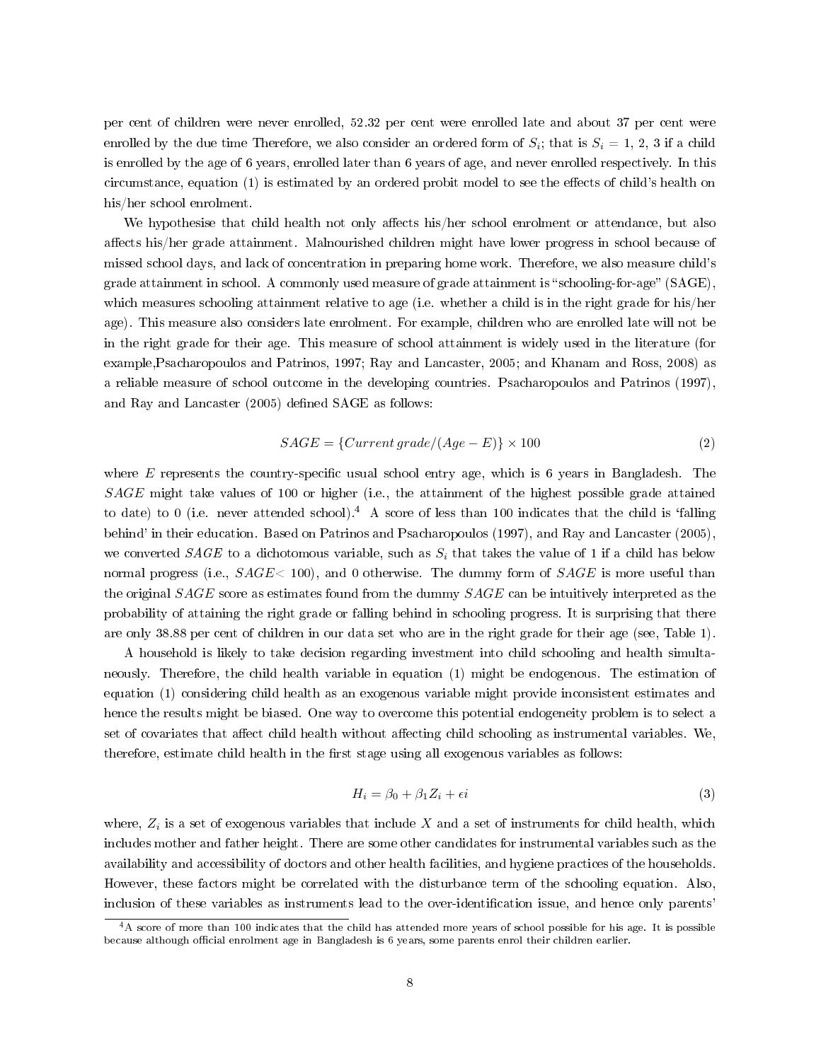per cent of children were never enrolled, 52.32 per cent were enrolled late and about 37 per cent were enrolled by the due time Therefore, we also consider an ordered form of  $S_i$ ; that is  $S_i = 1, 2, 3$  if a child is enrolled by the age of 6 years, enrolled later than 6 years of age, and never enrolled respectively. In this circumstance, equation (1) is estimated by an ordered probit model to see the effects of child's health on his/her school enrolment.

We hypothesise that child health not only affects his/her school enrolment or attendance, but also affects his/her grade attainment. Malnourished children might have lower progress in school because of missed school days, and lack of concentration in preparing home work. Therefore, we also measure child's grade attainment in school. A commonly used measure of grade attainment is "schooling-for-age"  $(SAGE)$ , which measures schooling attainment relative to age (i.e. whether a child is in the right grade for his/her age). This measure also considers late enrolment. For example, children who are enrolled late will not be in the right grade for their age. This measure of school attainment is widely used in the literature (for example,Psacharopoulos and Patrinos, 1997; Ray and Lancaster, 2005; and Khanam and Ross, 2008) as a reliable measure of school outcome in the developing countries. Psacharopoulos and Patrinos (1997), and Ray and Lancaster (2005) defined SAGE as follows:

$$
SAGE = \{Current\,grade / (Age - E) \} \times 100 \tag{2}
$$

where  $E$  represents the country-specific usual school entry age, which is 6 years in Bangladesh. The SAGE might take values of 100 or higher (i.e., the attainment of the highest possible grade attained to date) to 0 (i.e. never attended school).<sup>4</sup> A score of less than 100 indicates that the child is 'falling behind' in their education. Based on Patrinos and Psacharopoulos (1997), and Ray and Lancaster (2005), we converted  $SAGE$  to a dichotomous variable, such as  $S_i$  that takes the value of 1 if a child has below normal progress (i.e.,  $SAGE < 100$ ), and 0 otherwise. The dummy form of  $SAGE$  is more useful than the original SAGE score as estimates found from the dummy SAGE can be intuitively interpreted as the probability of attaining the right grade or falling behind in schooling progress. It is surprising that there are only 38.88 per cent of children in our data set who are in the right grade for their age (see, Table 1).

A household is likely to take decision regarding investment into child schooling and health simultaneously. Therefore, the child health variable in equation (1) might be endogenous. The estimation of equation (1) considering child health as an exogenous variable might provide inconsistent estimates and hence the results might be biased. One way to overcome this potential endogeneity problem is to select a set of covariates that affect child health without affecting child schooling as instrumental variables. We, therefore, estimate child health in the first stage using all exogenous variables as follows:

$$
H_i = \beta_0 + \beta_1 Z_i + \epsilon i \tag{3}
$$

where,  $Z_i$  is a set of exogenous variables that include X and a set of instruments for child health, which includes mother and father height. There are some other candidates for instrumental variables such as the availability and accessibility of doctors and other health facilities, and hygiene practices of the households. However, these factors might be correlated with the disturbance term of the schooling equation. Also, inclusion of these variables as instruments lead to the over-identification issue, and hence only parents'

 $^4$ A score of more than 100 indicates that the child has attended more years of school possible for his age. It is possible because although official enrolment age in Bangladesh is 6 years, some parents enrol their children earlier.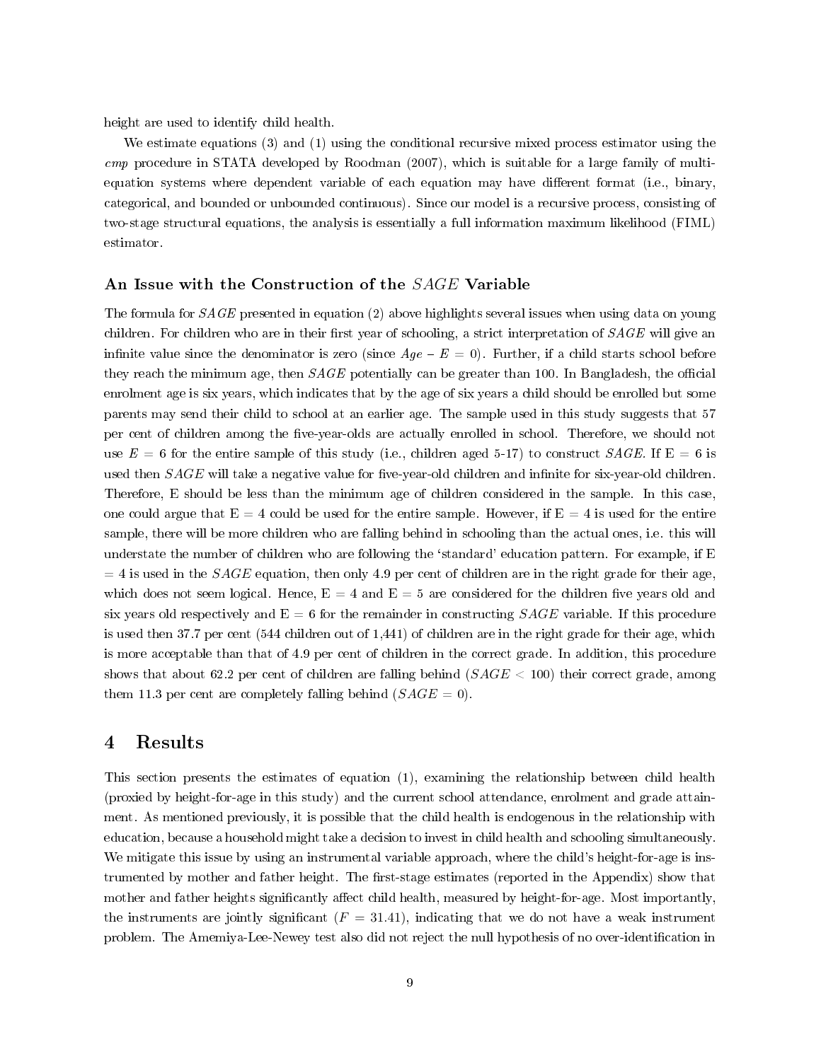height are used to identify child health.

We estimate equations (3) and (1) using the conditional recursive mixed process estimator using the cmp procedure in STATA developed by Roodman (2007), which is suitable for a large family of multiequation systems where dependent variable of each equation may have different format (i.e., binary, categorical, and bounded or unbounded continuous). Since our model is a recursive process, consisting of two-stage structural equations, the analysis is essentially a full information maximum likelihood (FIML) estimator.

#### An Issue with the Construction of the SAGE Variable

The formula for SAGE presented in equation (2) above highlights several issues when using data on young children. For children who are in their first year of schooling, a strict interpretation of  $SAGE$  will give an infinite value since the denominator is zero (since  $Age - E = 0$ ). Further, if a child starts school before they reach the minimum age, then  $SAGE$  potentially can be greater than 100. In Bangladesh, the official enrolment age is six years, which indicates that by the age of six years a child should be enrolled but some parents may send their child to school at an earlier age. The sample used in this study suggests that 57 per cent of children among the five-year-olds are actually enrolled in school. Therefore, we should not use  $E = 6$  for the entire sample of this study (i.e., children aged 5-17) to construct  $SAGE$ . If  $E = 6$  is used then  $SAGE$  will take a negative value for five-year-old children and infinite for six-year-old children. Therefore, E should be less than the minimum age of children considered in the sample. In this case, one could argue that  $E = 4$  could be used for the entire sample. However, if  $E = 4$  is used for the entire sample, there will be more children who are falling behind in schooling than the actual ones, i.e. this will understate the number of children who are following the `standard' education pattern. For example, if E  $= 4$  is used in the SAGE equation, then only 4.9 per cent of children are in the right grade for their age, which does not seem logical. Hence,  $E = 4$  and  $E = 5$  are considered for the children five years old and six years old respectively and  $E = 6$  for the remainder in constructing  $SAGE$  variable. If this procedure is used then 37.7 per cent (544 children out of 1,441) of children are in the right grade for their age, which is more acceptable than that of 4.9 per cent of children in the correct grade. In addition, this procedure shows that about 62.2 per cent of children are falling behind  $(SAGE < 100)$  their correct grade, among them 11.3 per cent are completely falling behind  $(SAGE = 0)$ .

## 4 Results

This section presents the estimates of equation (1), examining the relationship between child health (proxied by height-for-age in this study) and the current school attendance, enrolment and grade attainment. As mentioned previously, it is possible that the child health is endogenous in the relationship with education, because a household might take a decision to invest in child health and schooling simultaneously. We mitigate this issue by using an instrumental variable approach, where the child's height-for-age is instrumented by mother and father height. The first-stage estimates (reported in the Appendix) show that mother and father heights significantly affect child health, measured by height-for-age. Most importantly, the instruments are jointly significant  $(F = 31.41)$ , indicating that we do not have a weak instrument problem. The Amemiya-Lee-Newey test also did not reject the null hypothesis of no over-identification in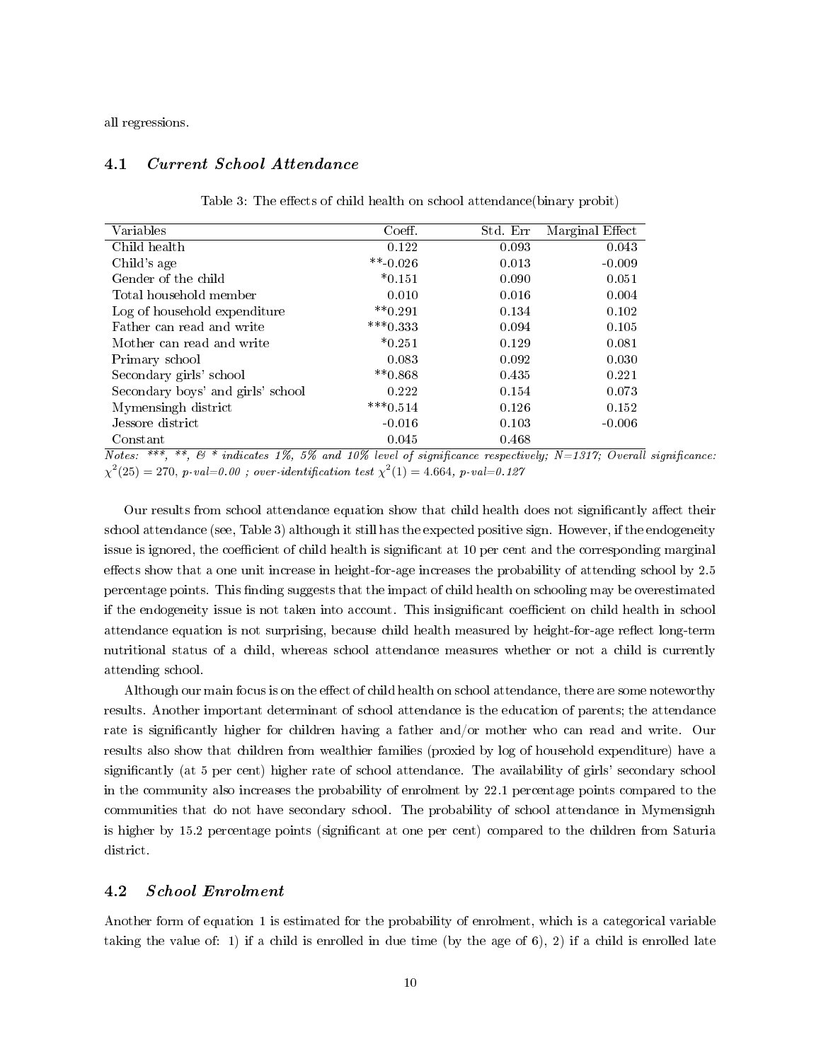all regressions.

#### 4.1 Current School Attendance

| Variables                         | Coeff.      | Std. Err | Marginal Effect |
|-----------------------------------|-------------|----------|-----------------|
| Child health                      | 0.122       | 0.093    | 0.043           |
| Child's age                       | $***-0.026$ | 0.013    | $-0.009$        |
| Gender of the child               | $*0.151$    | 0.090    | 0.051           |
| Total household member            | 0.010       | 0.016    | 0.004           |
| Log of household expenditure      | $***0.291$  | 0.134    | 0.102           |
| Father can read and write         | $***0.333$  | 0.094    | 0.105           |
| Mother can read and write         | $*0.251$    | 0.129    | 0.081           |
| Primary school                    | 0.083       | 0.092    | 0.030           |
| Secondary girls' school           | $**0.868$   | 0.435    | 0.221           |
| Secondary boys' and girls' school | 0.222       | 0.154    | 0.073           |
| Mymensingh district               | $***0.514$  | 0.126    | 0.152           |
| Jessore district                  | $-0.016$    | 0.103    | $-0.006$        |
| Constant                          | 0.045       | 0.468    |                 |

Table 3: The effects of child health on school attendance (binary probit)

 $Notes: ***, ***, \& *; induction$  indicates 1%, 5% and 10% level of significance respectively; N=1317; Overall significance:  $\chi^2(25) = 270, p\ \text{-}val = 0.00; over-identification test \ \chi^2(1) = 4.664, p\ \text{-}val = 0.127$ 

Our results from school attendance equation show that child health does not significantly affect their school attendance (see, Table 3) although it still has the expected positive sign. However, if the endogeneity issue is ignored, the coefficient of child health is significant at 10 per cent and the corresponding marginal effects show that a one unit increase in height-for-age increases the probability of attending school by 2.5 percentage points. This finding suggests that the impact of child health on schooling may be overestimated if the endogeneity issue is not taken into account. This insignificant coefficient on child health in school attendance equation is not surprising, because child health measured by height-for-age reflect long-term nutritional status of a child, whereas school attendance measures whether or not a child is currently attending school.

Although our main focus is on the effect of child health on school attendance, there are some noteworthy results. Another important determinant of school attendance is the education of parents; the attendance rate is significantly higher for children having a father and/or mother who can read and write. Our results also show that children from wealthier families (proxied by log of household expenditure) have a signicantly (at 5 per cent) higher rate of school attendance. The availability of girls' secondary school in the community also increases the probability of enrolment by 22.1 percentage points compared to the communities that do not have secondary school. The probability of school attendance in Mymensignh is higher by 15.2 percentage points (significant at one per cent) compared to the children from Saturia district.

### 4.2 School Enrolment

Another form of equation 1 is estimated for the probability of enrolment, which is a categorical variable taking the value of: 1) if a child is enrolled in due time (by the age of 6), 2) if a child is enrolled late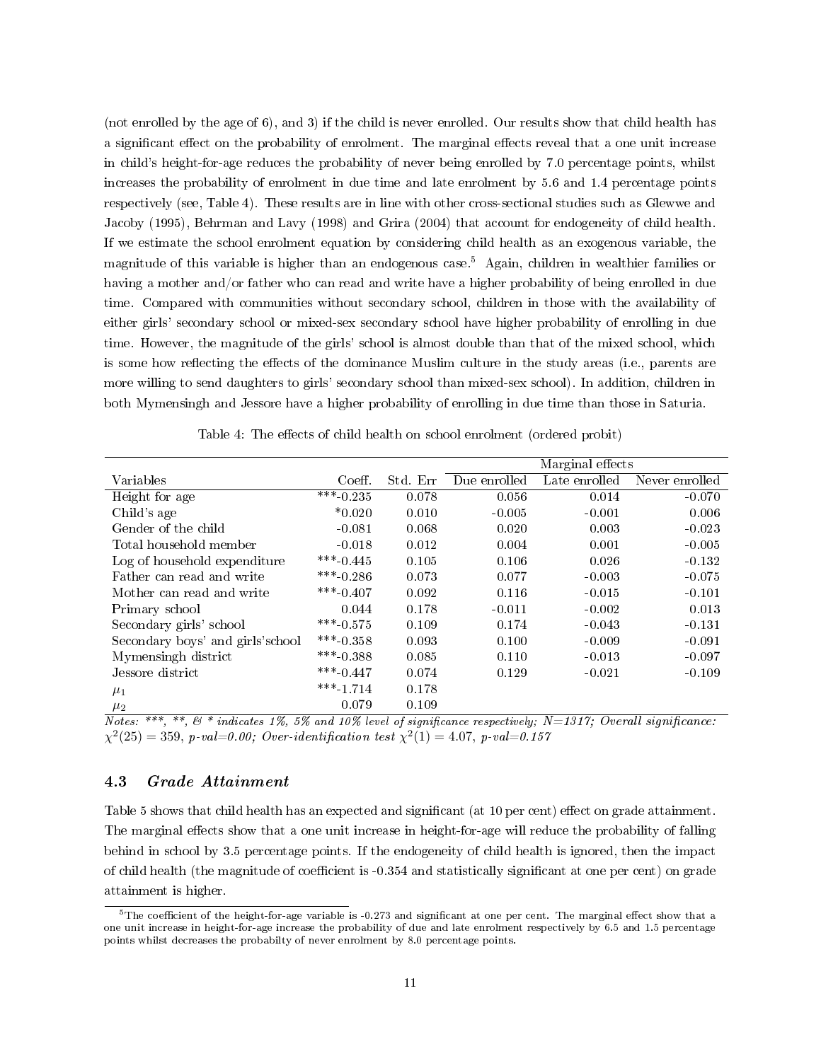(not enrolled by the age of 6), and 3) if the child is never enrolled. Our results show that child health has a significant effect on the probability of enrolment. The marginal effects reveal that a one unit increase in child's height-for-age reduces the probability of never being enrolled by 7.0 percentage points, whilst increases the probability of enrolment in due time and late enrolment by 5.6 and 1.4 percentage points respectively (see, Table 4). These results are in line with other cross-sectional studies such as Glewwe and Jacoby (1995), Behrman and Lavy (1998) and Grira (2004) that account for endogeneity of child health. If we estimate the school enrolment equation by considering child health as an exogenous variable, the magnitude of this variable is higher than an endogenous case.<sup>5</sup> Again, children in wealthier families or having a mother and/or father who can read and write have a higher probability of being enrolled in due time. Compared with communities without secondary school, children in those with the availability of either girls' secondary school or mixed-sex secondary school have higher probability of enrolling in due time. However, the magnitude of the girls' school is almost double than that of the mixed school, which is some how reflecting the effects of the dominance Muslim culture in the study areas (i.e., parents are more willing to send daughters to girls' secondary school than mixed-sex school). In addition, children in both Mymensingh and Jessore have a higher probability of enrolling in due time than those in Saturia.

|                                   |             |          |              | Marginal effects |                |
|-----------------------------------|-------------|----------|--------------|------------------|----------------|
| Variables                         | Coeff.      | Std. Err | Due enrolled | Late enrolled    | Never enrolled |
| Height for age                    | ***-0.235   | 0.078    | 0.056        | 0.014            | $-0.070$       |
| Child's age                       | $*0.020$    | 0.010    | $-0.005$     | $-0.001$         | 0.006          |
| Gender of the child               | $-0.081$    | 0.068    | 0.020        | 0.003            | $-0.023$       |
| Total household member            | $-0.018$    | 0.012    | 0.004        | 0.001            | $-0.005$       |
| Log of household expenditure      | $***-0.445$ | 0.105    | 0.106        | 0.026            | $-0.132$       |
| Father can read and write         | $***-0.286$ | 0.073    | 0.077        | $-0.003$         | $-0.075$       |
| Mother can read and write         | $***-0.407$ | 0.092    | 0.116        | $-0.015$         | $-0.101$       |
| Primary school                    | 0.044       | 0.178    | $-0.011$     | $-0.002$         | 0.013          |
| Secondary girls' school           | $***-0.575$ | 0.109    | 0.174        | $-0.043$         | $-0.131$       |
| Secondary boys' and girls's chool | ***-0.358   | 0.093    | 0.100        | $-0.009$         | $-0.091$       |
| Mymensingh district               | $***-0.388$ | 0.085    | 0.110        | $-0.013$         | $-0.097$       |
| Jessore district                  | ***-0.447   | 0.074    | 0.129        | $-0.021$         | $-0.109$       |
| $\mu_1$                           | ***-1.714   | 0.178    |              |                  |                |
| $\mu_2$                           | 0.079       | 0.109    |              |                  |                |

Table 4: The effects of child health on school enrolment (ordered probit)

Notes: \*\*\*, \*\*,  $\&$  \* indicates 1%, 5% and 10% level of significance respectively; N=1317; Overall significance:  $\chi^2(25) = 359$ , p-val=0.00; Over-identification test  $\chi^2(1) = 4.07$ , p-val=0.157

#### 4.3 Grade Attainment

Table 5 shows that child health has an expected and significant (at 10 per cent) effect on grade attainment. The marginal effects show that a one unit increase in height-for-age will reduce the probability of falling behind in school by 3.5 percentage points. If the endogeneity of child health is ignored, then the impact of child health (the magnitude of coefficient is  $-0.354$  and statistically significant at one per cent) on grade attainment is higher.

 $^5$ The coefficient of the height-for-age variable is -0.273 and significant at one per cent. The marginal effect show that a one unit increase in height-for-age increase the probability of due and late enrolment respectively by 6.5 and 1.5 percentage points whilst decreases the probabilty of never enrolment by 8.0 percentage points.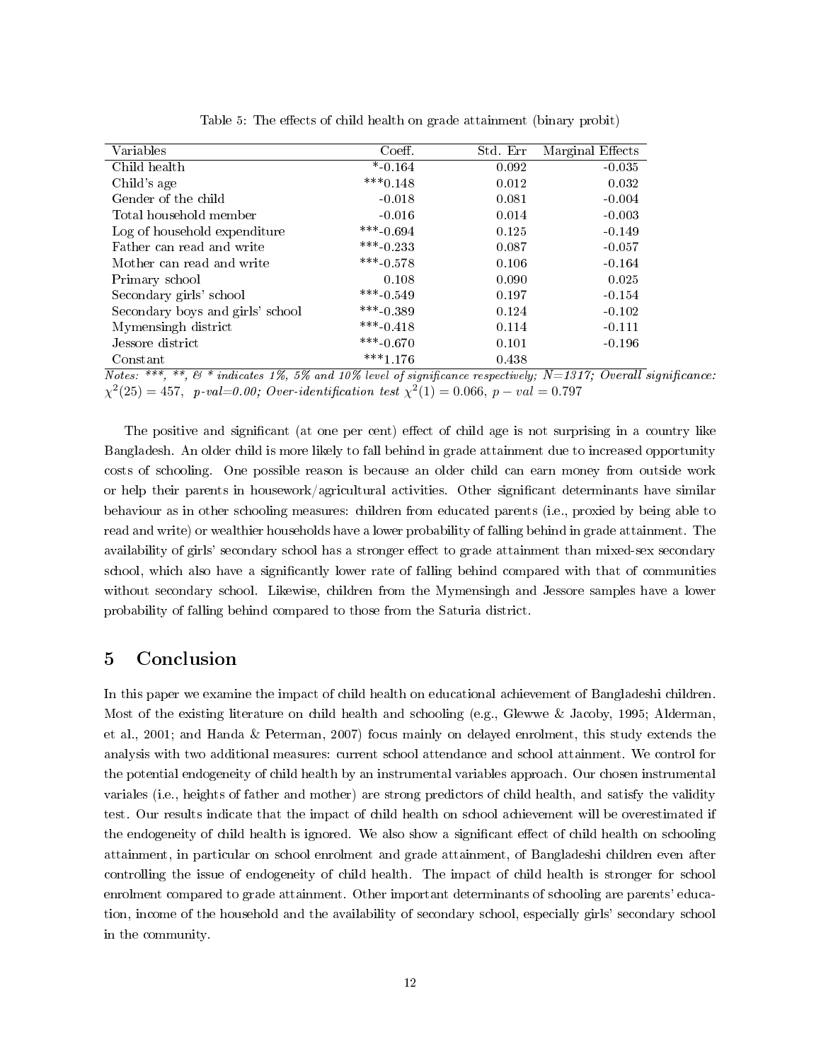| Variables                        | Coeff.      | Std. Err | Marginal Effects |
|----------------------------------|-------------|----------|------------------|
| Child health                     | $* 0.164$   | 0.092    | $-0.035$         |
| Child's age                      | $***0.148$  | 0.012    | 0.032            |
| Gender of the child              | $-0.018$    | 0.081    | $-0.004$         |
| Total household member           | $-0.016$    | 0.014    | $-0.003$         |
| Log of household expenditure     | $***-0.694$ | 0.125    | $-0.149$         |
| Father can read and write        | $***$ 0.233 | 0.087    | $-0.057$         |
| Mother can read and write        | $***-0.578$ | 0.106    | $-0.164$         |
| Primary school                   | 0.108       | 0.090    | 0.025            |
| Secondary girls' school          | $***-0.549$ | 0.197    | $-0.154$         |
| Secondary boys and girls' school | $***-0.389$ | 0.124    | $-0.102$         |
| Mymensingh district              | $***-0.418$ | 0.114    | $-0.111$         |
| Jessore district                 | ***-0.670   | 0.101    | $-0.196$         |
| Constant                         | $***1.176$  | 0.438    |                  |

Table 5: The effects of child health on grade attainment (binary probit)

 $\overline{Notes:}\; ^{***},\; ^{**},\; ^{6}$  \* indicates 1%, 5% and 10% level of significance respectively; N=1317; Overall significance:  $\chi^2(25) = 457$ , p-val=0.00; Over-identification test  $\chi^2(1) = 0.066$ , p - val = 0.797

The positive and significant (at one per cent) effect of child age is not surprising in a country like Bangladesh. An older child is more likely to fall behind in grade attainment due to increased opportunity costs of schooling. One possible reason is because an older child can earn money from outside work or help their parents in housework/agricultural activities. Other signicant determinants have similar behaviour as in other schooling measures: children from educated parents (i.e., proxied by being able to read and write) or wealthier households have a lower probability of falling behind in grade attainment. The availability of girls' secondary school has a stronger effect to grade attainment than mixed-sex secondary school, which also have a signicantly lower rate of falling behind compared with that of communities without secondary school. Likewise, children from the Mymensingh and Jessore samples have a lower probability of falling behind compared to those from the Saturia district.

# 5 Conclusion

In this paper we examine the impact of child health on educational achievement of Bangladeshi children. Most of the existing literature on child health and schooling (e.g., Glewwe & Jacoby, 1995; Alderman, et al., 2001; and Handa & Peterman, 2007) focus mainly on delayed enrolment, this study extends the analysis with two additional measures: current school attendance and school attainment. We control for the potential endogeneity of child health by an instrumental variables approach. Our chosen instrumental variales (i.e., heights of father and mother) are strong predictors of child health, and satisfy the validity test. Our results indicate that the impact of child health on school achievement will be overestimated if the endogeneity of child health is ignored. We also show a significant effect of child health on schooling attainment, in particular on school enrolment and grade attainment, of Bangladeshi children even after controlling the issue of endogeneity of child health. The impact of child health is stronger for school enrolment compared to grade attainment. Other important determinants of schooling are parents' education, income of the household and the availability of secondary school, especially girls' secondary school in the community.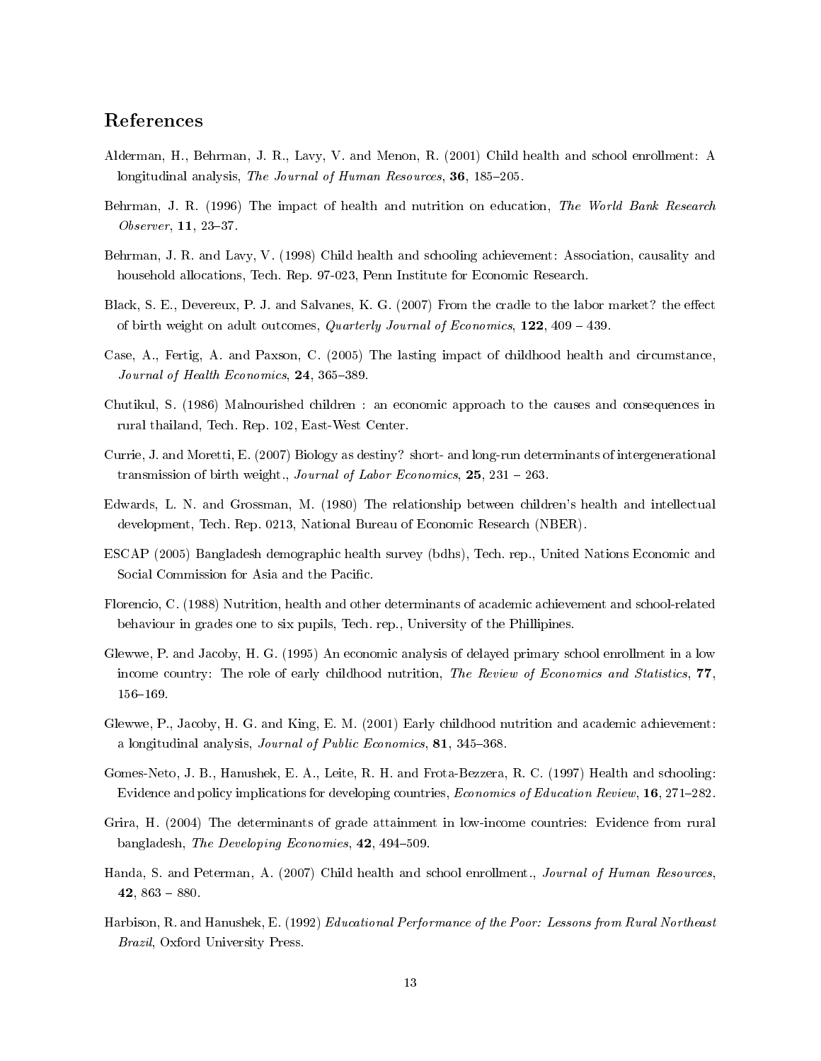## References

- Alderman, H., Behrman, J. R., Lavy, V. and Menon, R. (2001) Child health and school enrollment: A longitudinal analysis, The Journal of Human Resources, 36, 185-205.
- Behrman, J. R. (1996) The impact of health and nutrition on education, The World Bank Research  $Observer, 11, 23-37.$
- Behrman, J. R. and Lavy, V. (1998) Child health and schooling achievement: Association, causality and household allocations, Tech. Rep. 97-023, Penn Institute for Economic Research.
- Black, S. E., Devereux, P. J. and Salvanes, K. G. (2007) From the cradle to the labor market? the effect of birth weight on adult outcomes, Quarterly Journal of Economics,  $122$ ,  $409 - 439$ .
- Case, A., Fertig, A. and Paxson, C. (2005) The lasting impact of childhood health and circumstance, Journal of Health Economics,  $24, 365-389$ .
- Chutikul, S. (1986) Malnourished children : an economic approach to the causes and consequences in rural thailand, Tech. Rep. 102, East-West Center.
- Currie, J. and Moretti, E. (2007) Biology as destiny? short- and long-run determinants of intergenerational transmission of birth weight., Journal of Labor Economics,  $25, 231 - 263$ .
- Edwards, L. N. and Grossman, M. (1980) The relationship between children's health and intellectual development, Tech. Rep. 0213, National Bureau of Economic Research (NBER).
- ESCAP (2005) Bangladesh demographic health survey (bdhs), Tech. rep., United Nations Economic and Social Commission for Asia and the Pacific.
- Florencio, C. (1988) Nutrition, health and other determinants of academic achievement and school-related behaviour in grades one to six pupils, Tech. rep., University of the Phillipines.
- Glewwe, P. and Jacoby, H. G. (1995) An economic analysis of delayed primary school enrollment in a low income country: The role of early childhood nutrition, The Review of Economics and Statistics, 77, 156-169.
- Glewwe, P., Jacoby, H. G. and King, E. M. (2001) Early childhood nutrition and academic achievement: a longitudinal analysis, *Journal of Public Economics*,  $81, 345-368$ .
- Gomes-Neto, J. B., Hanushek, E. A., Leite, R. H. and Frota-Bezzera, R. C. (1997) Health and schooling: Evidence and policy implications for developing countries, *Economics of Education Review*, 16, 271–282.
- Grira, H. (2004) The determinants of grade attainment in low-income countries: Evidence from rural bangladesh, *The Developing Economies*, 42, 494–509.
- Handa, S. and Peterman, A. (2007) Child health and school enrollment., Journal of Human Resources, 42,  $863 - 880$ .
- Harbison, R. and Hanushek, E. (1992) Educational Performance of the Poor: Lessons from Rural Northeast Brazil, Oxford University Press.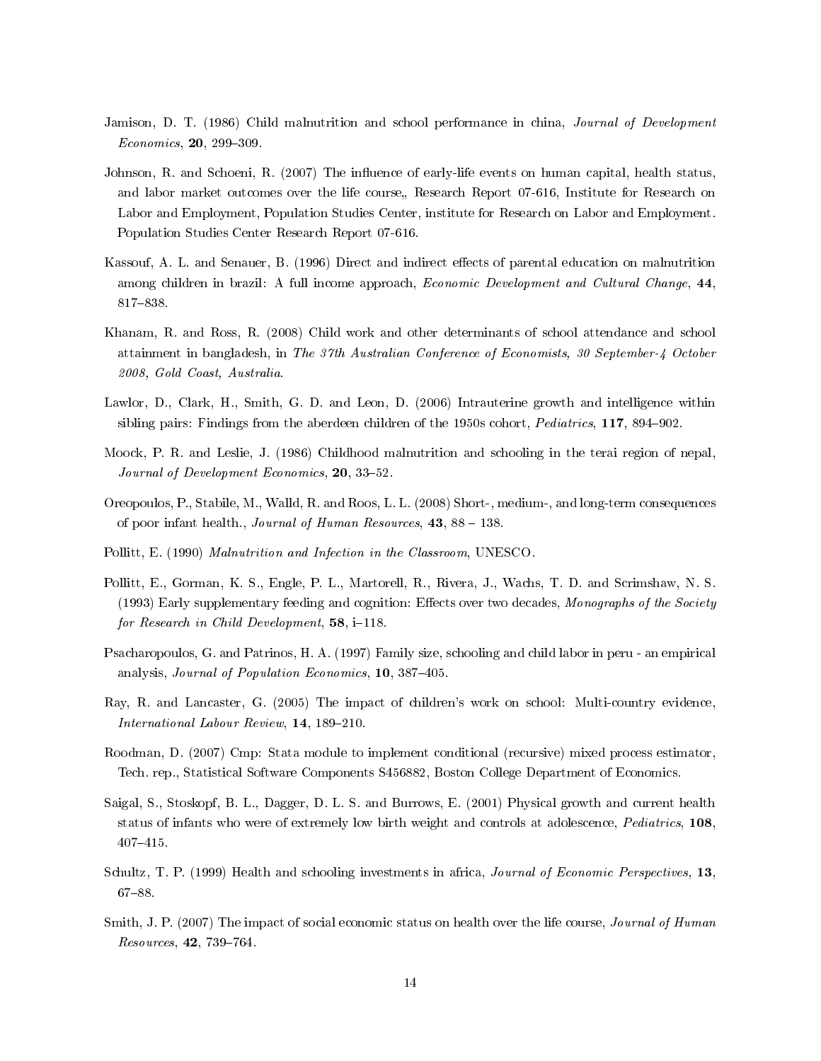- Jamison, D. T. (1986) Child malnutrition and school performance in china, *Journal of Development*  $Economics, 20, 299-309.$
- Johnson, R. and Schoeni, R. (2007) The influence of early-life events on human capital, health status, and labor market outcomes over the life course, Research Report 07-616, Institute for Research on Labor and Employment, Population Studies Center, institute for Research on Labor and Employment. Population Studies Center Research Report 07-616.
- Kassouf, A. L. and Senauer, B. (1996) Direct and indirect effects of parental education on malnutrition among children in brazil: A full income approach, Economic Development and Cultural Change, 44, 817-838.
- Khanam, R. and Ross, R. (2008) Child work and other determinants of school attendance and school attainment in bangladesh, in The 37th Australian Conference of Economists, 30 September-4 October 2008, Gold Coast, Australia.
- Lawlor, D., Clark, H., Smith, G. D. and Leon, D. (2006) Intrauterine growth and intelligence within sibling pairs: Findings from the aberdeen children of the 1950s cohort, *Pediatrics*, **117**, 894–902.
- Moock, P. R. and Leslie, J. (1986) Childhood malnutrition and schooling in the terai region of nepal, Journal of Development Economics, 20, 33-52.
- Oreopoulos, P., Stabile, M., Walld, R. and Roos, L. L. (2008) Short-, medium-, and long-term consequences of poor infant health., Journal of Human Resources,  $43$ ,  $88 - 138$ .
- Pollitt, E. (1990) Malnutrition and Infection in the Classroom, UNESCO.
- Pollitt, E., Gorman, K. S., Engle, P. L., Martorell, R., Rivera, J., Wachs, T. D. and Scrimshaw, N. S. (1993) Early supplementary feeding and cognition: Effects over two decades, Monographs of the Society for Research in Child Development,  $58$ ,  $i=118$ .
- Psacharopoulos, G. and Patrinos, H. A. (1997) Family size, schooling and child labor in peru an empirical analysis, *Journal of Population Economics*, 10, 387–405.
- Ray, R. and Lancaster, G. (2005) The impact of children's work on school: Multi-country evidence, International Labour Review, 14, 189-210.
- Roodman, D. (2007) Cmp: Stata module to implement conditional (recursive) mixed process estimator, Tech. rep., Statistical Software Components S456882, Boston College Department of Economics.
- Saigal, S., Stoskopf, B. L., Dagger, D. L. S. and Burrows, E. (2001) Physical growth and current health status of infants who were of extremely low birth weight and controls at adolescence, Pediatrics, 108, 407-415.
- Schultz, T. P. (1999) Health and schooling investments in africa, Journal of Economic Perspectives, 13, 67-88.
- Smith, J. P. (2007) The impact of social economic status on health over the life course, *Journal of Human* Resources, 42, 739-764.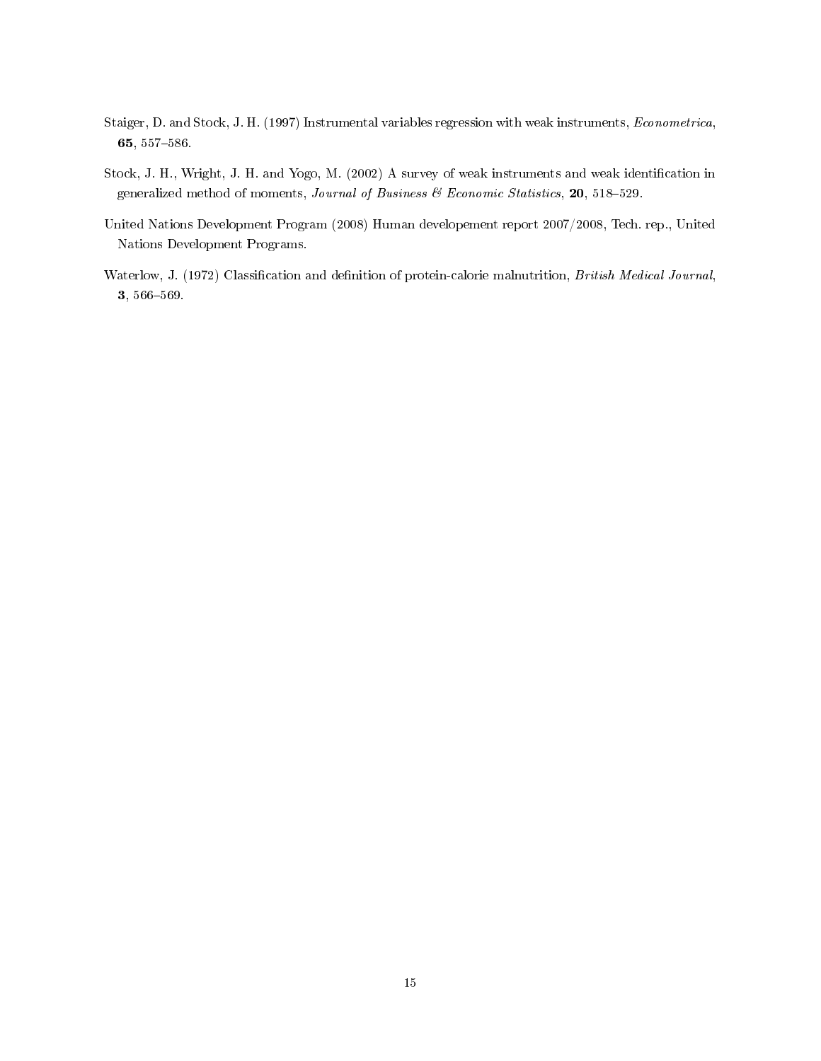- Staiger, D. and Stock, J. H. (1997) Instrumental variables regression with weak instruments, Econometrica, 65, 557-586.
- Stock, J. H., Wright, J. H. and Yogo, M. (2002) A survey of weak instruments and weak identification in generalized method of moments, Journal of Business & Economic Statistics, 20, 518-529.
- United Nations Development Program (2008) Human developement report 2007/2008, Tech. rep., United Nations Development Programs.
- Waterlow, J. (1972) Classification and definition of protein-calorie malnutrition, British Medical Journal, 3, 566-569.